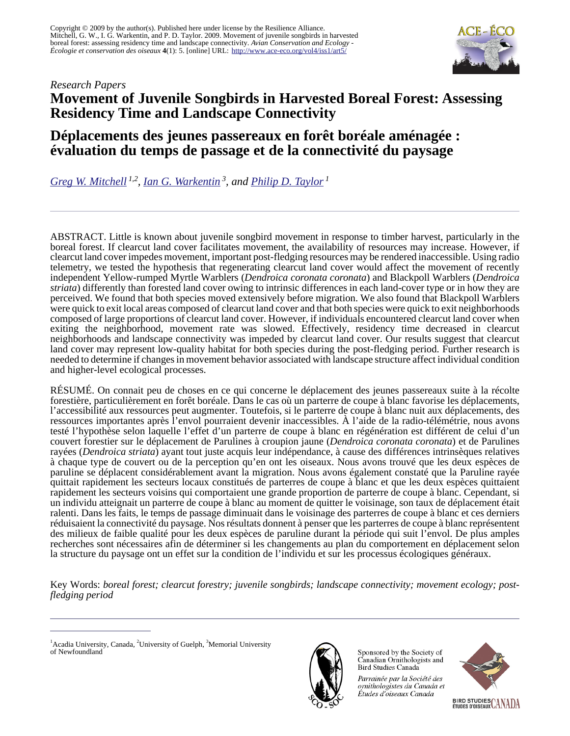

#### *Research Papers*

# **Movement of Juvenile Songbirds in Harvested Boreal Forest: Assessing Residency Time and Landscape Connectivity**

# **Déplacements des jeunes passereaux en forêt boréale aménagée : évaluation du temps de passage et de la connectivité du paysage**

*[Greg W. Mitchell](mailto:mitchelg@uoguelph.ca) 1,2 , [Ian G. Warkentin](mailto:iwarkent@swgc.mun.ca)<sup>3</sup>, and [Philip D. Taylor](mailto:ptaylor@resalliance.org)<sup>1</sup>*

ABSTRACT. Little is known about juvenile songbird movement in response to timber harvest, particularly in the boreal forest. If clearcut land cover facilitates movement, the availability of resources may increase. However, if clearcut land cover impedes movement, important post-fledging resources may be rendered inaccessible. Using radio telemetry, we tested the hypothesis that regenerating clearcut land cover would affect the movement of recently independent Yellow-rumped Myrtle Warblers (*Dendroica coronata coronata*) and Blackpoll Warblers (*Dendroica striata*) differently than forested land cover owing to intrinsic differences in each land-cover type or in how they are perceived. We found that both species moved extensively before migration. We also found that Blackpoll Warblers were quick to exit local areas composed of clearcut land cover and that both species were quick to exit neighborhoods composed of large proportions of clearcut land cover. However, if individuals encountered clearcut land cover when exiting the neighborhood, movement rate was slowed. Effectively, residency time decreased in clearcut neighborhoods and landscape connectivity was impeded by clearcut land cover. Our results suggest that clearcut land cover may represent low-quality habitat for both species during the post-fledging period. Further research is needed to determine if changes in movement behavior associated with landscape structure affect individual condition and higher-level ecological processes.

RÉSUMÉ. On connait peu de choses en ce qui concerne le déplacement des jeunes passereaux suite à la récolte forestière, particulièrement en forêt boréale. Dans le cas où un parterre de coupe à blanc favorise les déplacements, l'accessibilité aux ressources peut augmenter. Toutefois, si le parterre de coupe à blanc nuit aux déplacements, des ressources importantes après l'envol pourraient devenir inaccessibles. À l'aide de la radio-télémétrie, nous avons testé l'hypothèse selon laquelle l'effet d'un parterre de coupe à blanc en régénération est différent de celui d'un couvert forestier sur le déplacement de Parulines à croupion jaune (*Dendroica coronata coronata*) et de Parulines rayées (*Dendroica striata*) ayant tout juste acquis leur indépendance, à cause des différences intrinsèques relatives à chaque type de couvert ou de la perception qu'en ont les oiseaux. Nous avons trouvé que les deux espèces de paruline se déplacent considérablement avant la migration. Nous avons également constaté que la Paruline rayée quittait rapidement les secteurs locaux constitués de parterres de coupe à blanc et que les deux espèces quittaient rapidement les secteurs voisins qui comportaient une grande proportion de parterre de coupe à blanc. Cependant, si un individu atteignait un parterre de coupe à blanc au moment de quitter le voisinage, son taux de déplacement était ralenti. Dans les faits, le temps de passage diminuait dans le voisinage des parterres de coupe à blanc et ces derniers réduisaient la connectivité du paysage. Nos résultats donnent à penser que les parterres de coupe à blanc représentent des milieux de faible qualité pour les deux espèces de paruline durant la période qui suit l'envol. De plus amples recherches sont nécessaires afin de déterminer si les changements au plan du comportement en déplacement selon la structure du paysage ont un effet sur la condition de l'individu et sur les processus écologiques généraux.

Key Words: *boreal forest; clearcut forestry; juvenile songbirds; landscape connectivity; movement ecology; postfledging period*

 $1$ Acadia University, Canada,  $2$ University of Guelph,  $3$ Memorial University of Newfoundland



Sponsored by the Society of Canadian Ornithologists and Bird Studies Canada

Parrainée par la Société des ornithologistes du Canada et Études d'oiseaux Canada

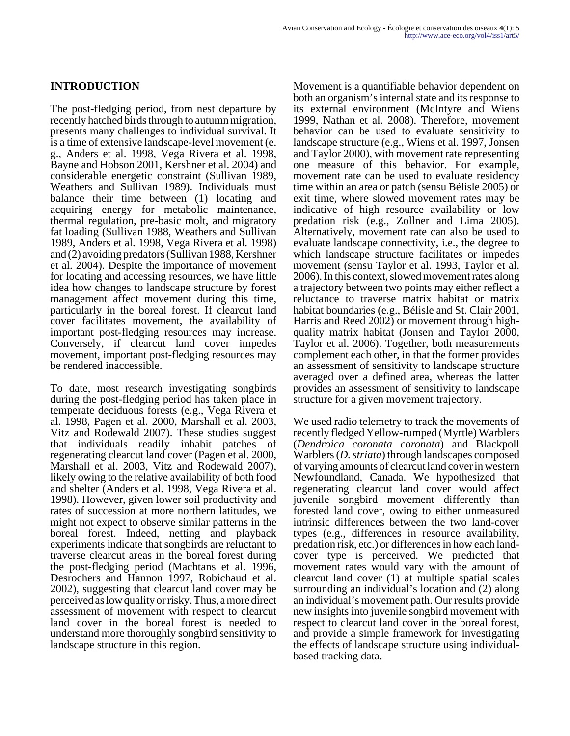## **INTRODUCTION**

The post-fledging period, from nest departure by recently hatched birds through to autumn migration, presents many challenges to individual survival. It is a time of extensive landscape-level movement (e. g., Anders et al. 1998, Vega Rivera et al. 1998, Bayne and Hobson 2001, Kershner et al. 2004) and considerable energetic constraint (Sullivan 1989, Weathers and Sullivan 1989). Individuals must balance their time between (1) locating and acquiring energy for metabolic maintenance, thermal regulation, pre-basic molt, and migratory fat loading (Sullivan 1988, Weathers and Sullivan 1989, Anders et al. 1998, Vega Rivera et al. 1998) and (2) avoiding predators (Sullivan 1988, Kershner et al. 2004). Despite the importance of movement for locating and accessing resources, we have little idea how changes to landscape structure by forest management affect movement during this time, particularly in the boreal forest. If clearcut land cover facilitates movement, the availability of important post-fledging resources may increase. Conversely, if clearcut land cover impedes movement, important post-fledging resources may be rendered inaccessible.

To date, most research investigating songbirds during the post-fledging period has taken place in temperate deciduous forests (e.g., Vega Rivera et al. 1998, Pagen et al. 2000, Marshall et al. 2003, Vitz and Rodewald 2007). These studies suggest that individuals readily inhabit patches of regenerating clearcut land cover (Pagen et al. 2000, Marshall et al. 2003, Vitz and Rodewald 2007), likely owing to the relative availability of both food and shelter (Anders et al. 1998, Vega Rivera et al. 1998). However, given lower soil productivity and rates of succession at more northern latitudes, we might not expect to observe similar patterns in the boreal forest. Indeed, netting and playback experiments indicate that songbirds are reluctant to traverse clearcut areas in the boreal forest during the post-fledging period (Machtans et al. 1996, Desrochers and Hannon 1997, Robichaud et al. 2002), suggesting that clearcut land cover may be perceived as low quality or risky. Thus, a more direct assessment of movement with respect to clearcut land cover in the boreal forest is needed to understand more thoroughly songbird sensitivity to landscape structure in this region.

Movement is a quantifiable behavior dependent on both an organism's internal state and its response to its external environment (McIntyre and Wiens 1999, Nathan et al. 2008). Therefore, movement behavior can be used to evaluate sensitivity to landscape structure (e.g., Wiens et al. 1997, Jonsen and Taylor 2000), with movement rate representing one measure of this behavior. For example, movement rate can be used to evaluate residency time within an area or patch (sensu Bélisle 2005) or exit time, where slowed movement rates may be indicative of high resource availability or low predation risk (e.g., Zollner and Lima 2005). Alternatively, movement rate can also be used to evaluate landscape connectivity, i.e., the degree to which landscape structure facilitates or impedes movement (sensu Taylor et al. 1993, Taylor et al. 2006). In this context, slowed movement rates along a trajectory between two points may either reflect a reluctance to traverse matrix habitat or matrix habitat boundaries (e.g., Bélisle and St. Clair 2001, Harris and Reed 2002) or movement through highquality matrix habitat (Jonsen and Taylor 2000, Taylor et al. 2006). Together, both measurements complement each other, in that the former provides an assessment of sensitivity to landscape structure averaged over a defined area, whereas the latter provides an assessment of sensitivity to landscape structure for a given movement trajectory.

We used radio telemetry to track the movements of recently fledged Yellow-rumped (Myrtle) Warblers (*Dendroica coronata coronata*) and Blackpoll Warblers (*D. striata*) through landscapes composed of varying amounts of clearcut land cover in western Newfoundland, Canada. We hypothesized that regenerating clearcut land cover would affect juvenile songbird movement differently than forested land cover, owing to either unmeasured intrinsic differences between the two land-cover types (e.g., differences in resource availability, predation risk, etc.) or differences in how each landcover type is perceived. We predicted that movement rates would vary with the amount of clearcut land cover (1) at multiple spatial scales surrounding an individual's location and (2) along an individual's movement path. Our results provide new insights into juvenile songbird movement with respect to clearcut land cover in the boreal forest, and provide a simple framework for investigating the effects of landscape structure using individualbased tracking data.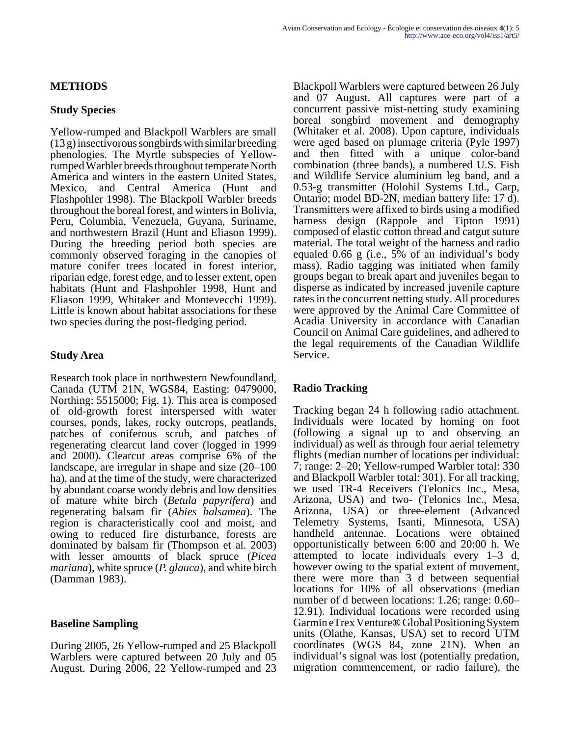## **METHODS**

### **Study Species**

Yellow-rumped and Blackpoll Warblers are small (13 g) insectivorous songbirds with similar breeding phenologies. The Myrtle subspecies of Yellowrumped Warbler breeds throughout temperate North America and winters in the eastern United States, Mexico, and Central America (Hunt and Flashpohler 1998). The Blackpoll Warbler breeds throughout the boreal forest, and winters in Bolivia, Peru, Columbia, Venezuela, Guyana, Suriname, and northwestern Brazil (Hunt and Eliason 1999). During the breeding period both species are commonly observed foraging in the canopies of mature conifer trees located in forest interior, riparian edge, forest edge, and to lesser extent, open habitats (Hunt and Flashpohler 1998, Hunt and Eliason 1999, Whitaker and Montevecchi 1999). Little is known about habitat associations for these two species during the post-fledging period.

## **Study Area**

Research took place in northwestern Newfoundland, Canada (UTM 21N, WGS84, Easting: 0479000, Northing: 5515000; Fig. 1). This area is composed of old-growth forest interspersed with water courses, ponds, lakes, rocky outcrops, peatlands, patches of coniferous scrub, and patches of regenerating clearcut land cover (logged in 1999 and 2000). Clearcut areas comprise 6% of the landscape, are irregular in shape and size (20–100 ha), and at the time of the study, were characterized by abundant coarse woody debris and low densities of mature white birch (*Betula papyrifera*) and regenerating balsam fir (*Abies balsamea*). The region is characteristically cool and moist, and owing to reduced fire disturbance, forests are dominated by balsam fir (Thompson et al. 2003) with lesser amounts of black spruce (*Picea mariana*), white spruce (*P. glauca*), and white birch (Damman 1983).

# **Baseline Sampling**

During 2005, 26 Yellow-rumped and 25 Blackpoll Warblers were captured between 20 July and 05 August. During 2006, 22 Yellow-rumped and 23 Blackpoll Warblers were captured between 26 July and 07 August. All captures were part of a concurrent passive mist-netting study examining boreal songbird movement and demography (Whitaker et al. 2008). Upon capture, individuals were aged based on plumage criteria (Pyle 1997) and then fitted with a unique color-band combination (three bands), a numbered U.S. Fish and Wildlife Service aluminium leg band, and a 0.53-g transmitter (Holohil Systems Ltd., Carp, Ontario; model BD-2N, median battery life: 17 d). Transmitters were affixed to birds using a modified harness design (Rappole and Tipton 1991) composed of elastic cotton thread and catgut suture material. The total weight of the harness and radio equaled 0.66 g (i.e., 5% of an individual's body mass). Radio tagging was initiated when family groups began to break apart and juveniles began to disperse as indicated by increased juvenile capture rates in the concurrent netting study. All procedures were approved by the Animal Care Committee of Acadia University in accordance with Canadian Council on Animal Care guidelines, and adhered to the legal requirements of the Canadian Wildlife Service.

# **Radio Tracking**

Tracking began 24 h following radio attachment. Individuals were located by homing on foot (following a signal up to and observing an individual) as well as through four aerial telemetry flights (median number of locations per individual: 7; range: 2–20; Yellow-rumped Warbler total: 330 and Blackpoll Warbler total: 301). For all tracking, we used TR-4 Receivers (Telonics Inc., Mesa, Arizona, USA) and two- (Telonics Inc., Mesa, Arizona, USA) or three-element (Advanced Telemetry Systems, Isanti, Minnesota, USA) handheld antennae. Locations were obtained opportunistically between 6:00 and 20:00 h. We attempted to locate individuals every 1–3 d, however owing to the spatial extent of movement, there were more than 3 d between sequential locations for 10% of all observations (median number of d between locations: 1.26; range: 0.60– 12.91). Individual locations were recorded using Garmin eTrex Venture® Global Positioning System units (Olathe, Kansas, USA) set to record UTM coordinates (WGS 84, zone 21N). When an individual's signal was lost (potentially predation, migration commencement, or radio failure), the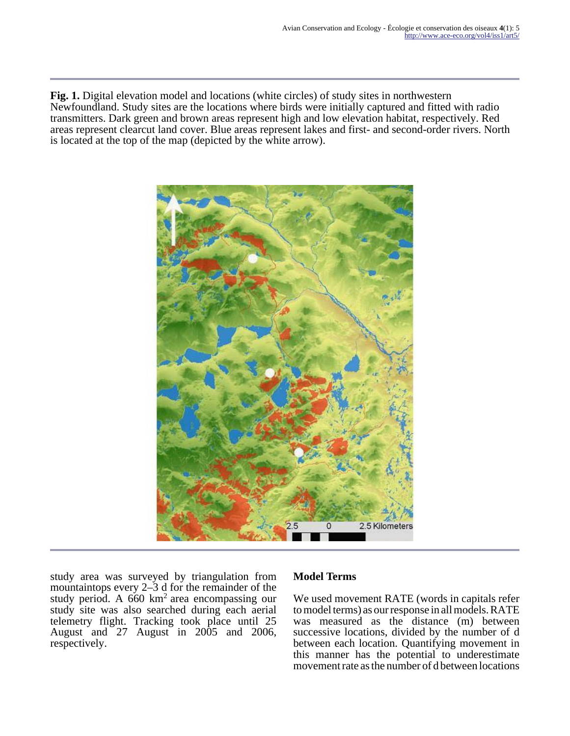**Fig. 1.** Digital elevation model and locations (white circles) of study sites in northwestern Newfoundland. Study sites are the locations where birds were initially captured and fitted with radio transmitters. Dark green and brown areas represent high and low elevation habitat, respectively. Red areas represent clearcut land cover. Blue areas represent lakes and first- and second-order rivers. North is located at the top of the map (depicted by the white arrow).



study area was surveyed by triangulation from mountaintops every 2–3 d for the remainder of the study period. A  $660 \text{ km}^2$  area encompassing our study site was also searched during each aerial telemetry flight. Tracking took place until 25 August and 27 August in 2005 and 2006, respectively.

# **Model Terms**

We used movement RATE (words in capitals refer to model terms) as our response in all models. RATE was measured as the distance (m) between successive locations, divided by the number of d between each location. Quantifying movement in this manner has the potential to underestimate movement rate as the number of d between locations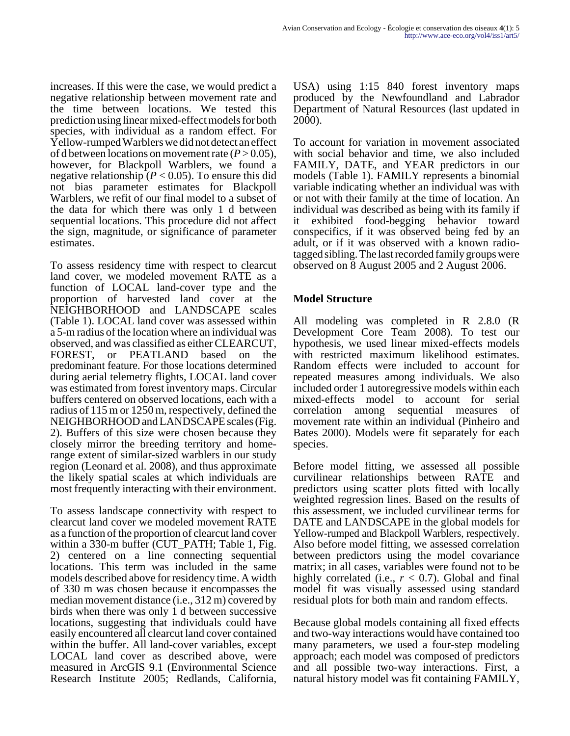increases. If this were the case, we would predict a negative relationship between movement rate and the time between locations. We tested this prediction using linear mixed-effect models for both species, with individual as a random effect. For Yellow-rumped Warblers we did not detect an effect of d between locations on movement rate  $(P > 0.05)$ , however, for Blackpoll Warblers, we found a negative relationship ( $P < 0.05$ ). To ensure this did not bias parameter estimates for Blackpoll Warblers, we refit of our final model to a subset of the data for which there was only 1 d between sequential locations. This procedure did not affect the sign, magnitude, or significance of parameter estimates.

To assess residency time with respect to clearcut land cover, we modeled movement RATE as a function of LOCAL land-cover type and the proportion of harvested land cover at the NEIGHBORHOOD and LANDSCAPE scales (Table 1). LOCAL land cover was assessed within a 5-m radius of the location where an individual was observed, and was classified as either CLEARCUT,<br>FOREST, or PEATLAND based on the or PEATLAND based on the predominant feature. For those locations determined during aerial telemetry flights, LOCAL land cover was estimated from forest inventory maps. Circular buffers centered on observed locations, each with a radius of 115 m or 1250 m, respectively, defined the NEIGHBORHOOD and LANDSCAPE scales (Fig. 2). Buffers of this size were chosen because they closely mirror the breeding territory and homerange extent of similar-sized warblers in our study region (Leonard et al. 2008), and thus approximate the likely spatial scales at which individuals are most frequently interacting with their environment.

To assess landscape connectivity with respect to clearcut land cover we modeled movement RATE as a function of the proportion of clearcut land cover within a 330-m buffer (CUT\_PATH; Table 1, Fig. 2) centered on a line connecting sequential locations. This term was included in the same models described above for residency time. A width of 330 m was chosen because it encompasses the median movement distance (i.e., 312 m) covered by birds when there was only 1 d between successive locations, suggesting that individuals could have easily encountered all clearcut land cover contained within the buffer. All land-cover variables, except LOCAL land cover as described above, were measured in ArcGIS 9.1 (Environmental Science Research Institute 2005; Redlands, California,

USA) using 1:15 840 forest inventory maps produced by the Newfoundland and Labrador Department of Natural Resources (last updated in 2000).

To account for variation in movement associated with social behavior and time, we also included FAMILY, DATE, and YEAR predictors in our models (Table 1). FAMILY represents a binomial variable indicating whether an individual was with or not with their family at the time of location. An individual was described as being with its family if it exhibited food-begging behavior toward conspecifics, if it was observed being fed by an adult, or if it was observed with a known radiotagged sibling. The last recorded family groups were observed on 8 August 2005 and 2 August 2006.

#### **Model Structure**

All modeling was completed in R 2.8.0 (R Development Core Team 2008). To test our hypothesis, we used linear mixed-effects models with restricted maximum likelihood estimates. Random effects were included to account for repeated measures among individuals. We also included order 1 autoregressive models within each mixed-effects model to account for serial correlation among sequential measures of movement rate within an individual (Pinheiro and Bates 2000). Models were fit separately for each species.

Before model fitting, we assessed all possible curvilinear relationships between RATE and predictors using scatter plots fitted with locally weighted regression lines. Based on the results of this assessment, we included curvilinear terms for DATE and LANDSCAPE in the global models for Yellow-rumped and Blackpoll Warblers, respectively. Also before model fitting, we assessed correlation between predictors using the model covariance matrix; in all cases, variables were found not to be highly correlated (i.e.,  $r < 0.7$ ). Global and final model fit was visually assessed using standard residual plots for both main and random effects.

Because global models containing all fixed effects and two-way interactions would have contained too many parameters, we used a four-step modeling approach; each model was composed of predictors and all possible two-way interactions. First, a natural history model was fit containing FAMILY,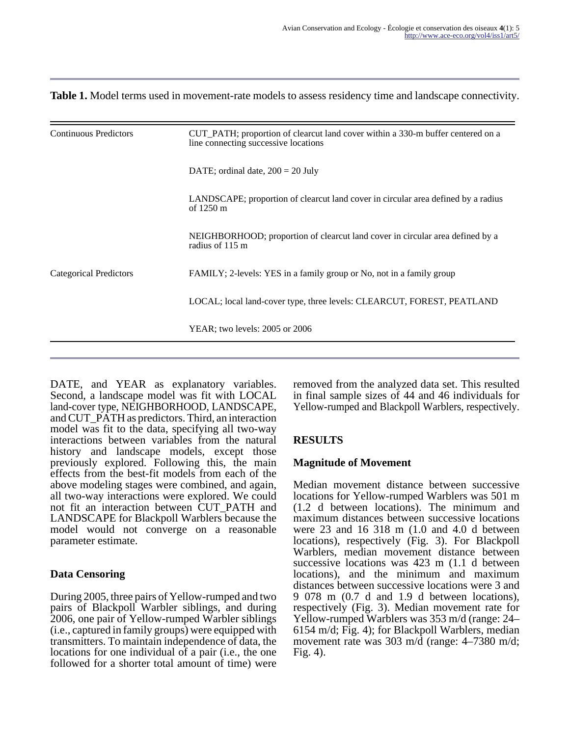#### **Table 1.** Model terms used in movement-rate models to assess residency time and landscape connectivity.

| <b>Continuous Predictors</b>  | CUT_PATH; proportion of clearcut land cover within a 330-m buffer centered on a<br>line connecting successive locations |  |  |  |
|-------------------------------|-------------------------------------------------------------------------------------------------------------------------|--|--|--|
|                               | DATE; ordinal date, $200 = 20$ July                                                                                     |  |  |  |
|                               | LANDSCAPE; proportion of clearcut land cover in circular area defined by a radius<br>of $1250 \text{ m}$                |  |  |  |
|                               | NEIGHBORHOOD; proportion of clearcut land cover in circular area defined by a<br>radius of 115 m                        |  |  |  |
| <b>Categorical Predictors</b> | FAMILY; 2-levels: YES in a family group or No, not in a family group                                                    |  |  |  |
|                               | LOCAL; local land-cover type, three levels: CLEARCUT, FOREST, PEATLAND                                                  |  |  |  |
|                               | YEAR; two levels: 2005 or 2006                                                                                          |  |  |  |
|                               |                                                                                                                         |  |  |  |

DATE, and YEAR as explanatory variables. Second, a landscape model was fit with LOCAL land-cover type, NEIGHBORHOOD, LANDSCAPE, and CUT\_PATH as predictors. Third, an interaction model was fit to the data, specifying all two-way interactions between variables from the natural history and landscape models, except those previously explored. Following this, the main effects from the best-fit models from each of the above modeling stages were combined, and again, all two-way interactions were explored. We could not fit an interaction between CUT\_PATH and LANDSCAPE for Blackpoll Warblers because the model would not converge on a reasonable parameter estimate.

## **Data Censoring**

During 2005, three pairs of Yellow-rumped and two pairs of Blackpoll Warbler siblings, and during 2006, one pair of Yellow-rumped Warbler siblings (i.e., captured in family groups) were equipped with transmitters. To maintain independence of data, the locations for one individual of a pair (i.e., the one followed for a shorter total amount of time) were

removed from the analyzed data set. This resulted in final sample sizes of 44 and 46 individuals for Yellow-rumped and Blackpoll Warblers, respectively.

# **RESULTS**

## **Magnitude of Movement**

Median movement distance between successive locations for Yellow-rumped Warblers was 501 m (1.2 d between locations). The minimum and maximum distances between successive locations were 23 and 16 318 m (1.0 and 4.0 d between locations), respectively (Fig. 3). For Blackpoll Warblers, median movement distance between successive locations was 423 m (1.1 d between locations), and the minimum and maximum distances between successive locations were 3 and 9 078 m (0.7 d and 1.9 d between locations), respectively (Fig. 3). Median movement rate for Yellow-rumped Warblers was 353 m/d (range: 24– 6154 m/d; Fig. 4); for Blackpoll Warblers, median movement rate was 303 m/d (range: 4–7380 m/d; Fig. 4).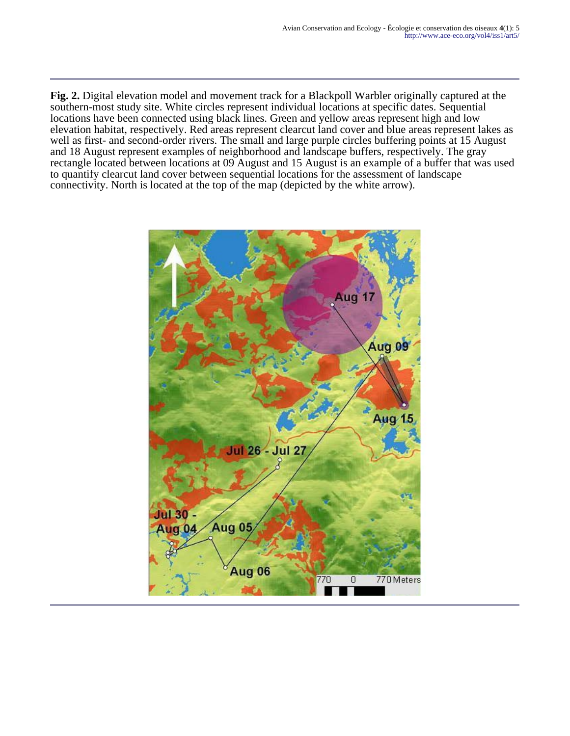**Fig. 2.** Digital elevation model and movement track for a Blackpoll Warbler originally captured at the southern-most study site. White circles represent individual locations at specific dates. Sequential locations have been connected using black lines. Green and yellow areas represent high and low elevation habitat, respectively. Red areas represent clearcut land cover and blue areas represent lakes as well as first- and second-order rivers. The small and large purple circles buffering points at 15 August and 18 August represent examples of neighborhood and landscape buffers, respectively. The gray rectangle located between locations at 09 August and 15 August is an example of a buffer that was used to quantify clearcut land cover between sequential locations for the assessment of landscape connectivity. North is located at the top of the map (depicted by the white arrow).

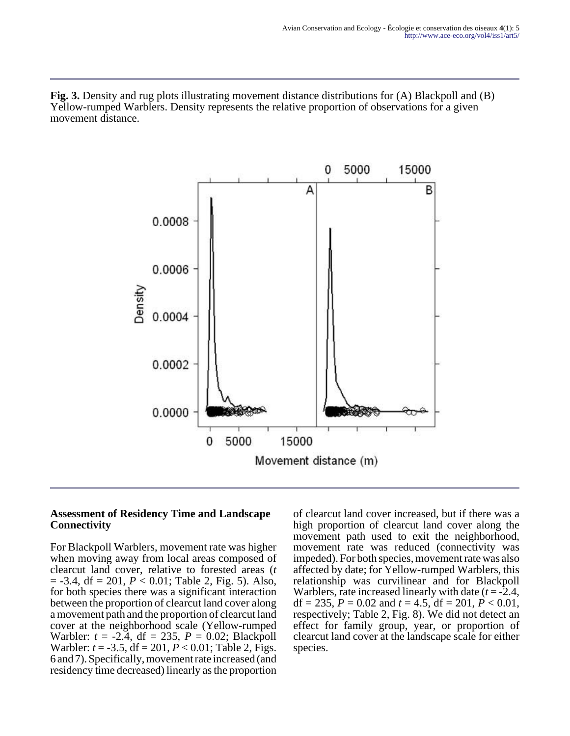**Fig. 3.** Density and rug plots illustrating movement distance distributions for (A) Blackpoll and (B) Yellow-rumped Warblers. Density represents the relative proportion of observations for a given movement distance.



#### **Assessment of Residency Time and Landscape Connectivity**

For Blackpoll Warblers, movement rate was higher when moving away from local areas composed of clearcut land cover, relative to forested areas (*t*  $=$  -3.4, df  $=$  201,  $P < 0.01$ ; Table 2, Fig. 5). Also, for both species there was a significant interaction between the proportion of clearcut land cover along a movement path and the proportion of clearcut land cover at the neighborhood scale (Yellow-rumped Warbler: *t* = -2.4, df = 235, *P* = 0.02; Blackpoll Warbler: *t* = -3.5, df = 201, *P* < 0.01; Table 2, Figs. 6 and 7). Specifically, movement rate increased (and residency time decreased) linearly as the proportion

of clearcut land cover increased, but if there was a high proportion of clearcut land cover along the movement path used to exit the neighborhood, movement rate was reduced (connectivity was impeded). For both species, movement rate was also affected by date; for Yellow-rumped Warblers, this relationship was curvilinear and for Blackpoll Warblers, rate increased linearly with date (*t* = -2.4, df = 235,  $P = 0.02$  and  $t = 4.5$ , df = 201,  $P < 0.01$ , respectively; Table 2, Fig. 8). We did not detect an effect for family group, year, or proportion of clearcut land cover at the landscape scale for either species.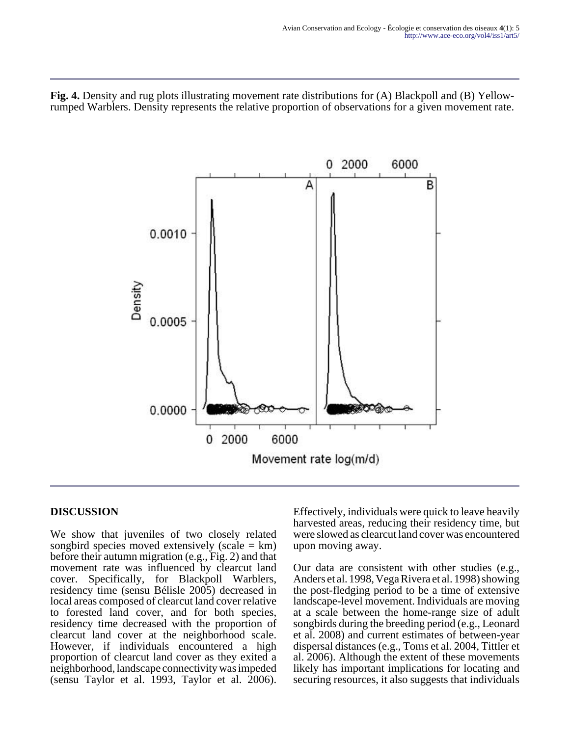**Fig. 4.** Density and rug plots illustrating movement rate distributions for (A) Blackpoll and (B) Yellowrumped Warblers. Density represents the relative proportion of observations for a given movement rate.



## **DISCUSSION**

We show that juveniles of two closely related songbird species moved extensively (scale  $= km$ ) before their autumn migration (e.g., Fig. 2) and that movement rate was influenced by clearcut land cover. Specifically, for Blackpoll Warblers, residency time (sensu Bélisle 2005) decreased in local areas composed of clearcut land cover relative to forested land cover, and for both species, residency time decreased with the proportion of clearcut land cover at the neighborhood scale. However, if individuals encountered a high proportion of clearcut land cover as they exited a neighborhood, landscape connectivity was impeded (sensu Taylor et al. 1993, Taylor et al. 2006).

Effectively, individuals were quick to leave heavily harvested areas, reducing their residency time, but were slowed as clearcut land cover was encountered upon moving away.

Our data are consistent with other studies (e.g., Anders et al. 1998, Vega Rivera et al. 1998) showing the post-fledging period to be a time of extensive landscape-level movement. Individuals are moving at a scale between the home-range size of adult songbirds during the breeding period (e.g., Leonard et al. 2008) and current estimates of between-year dispersal distances (e.g., Toms et al. 2004, Tittler et al. 2006). Although the extent of these movements likely has important implications for locating and securing resources, it also suggests that individuals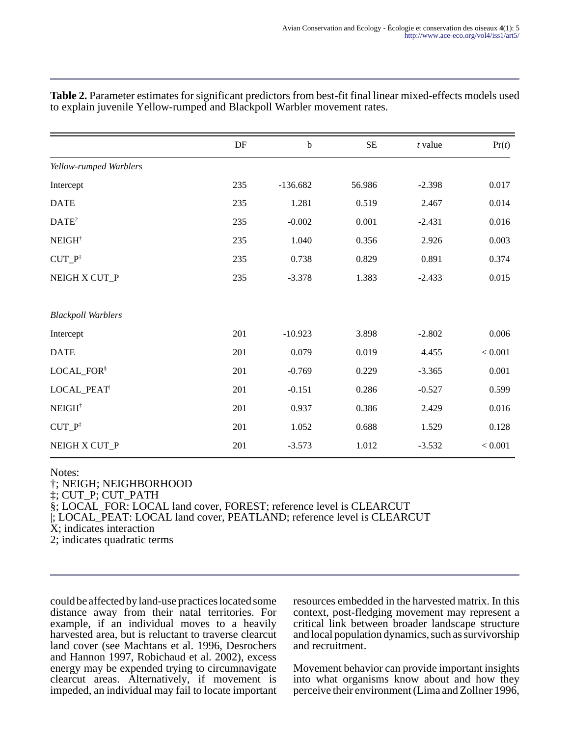|                           | $\rm DF$ | $\mathbf b$ | $\rm SE$ | $t$ value | Pr(t)   |
|---------------------------|----------|-------------|----------|-----------|---------|
| Yellow-rumped Warblers    |          |             |          |           |         |
| Intercept                 | 235      | $-136.682$  | 56.986   | $-2.398$  | 0.017   |
| <b>DATE</b>               | 235      | 1.281       | 0.519    | 2.467     | 0.014   |
| DATE <sup>2</sup>         | 235      | $-0.002$    | 0.001    | $-2.431$  | 0.016   |
| NEIGH <sup>†</sup>        | 235      | 1.040       | 0.356    | 2.926     | 0.003   |
| $CUT_P^{\ddagger}$        | 235      | 0.738       | 0.829    | 0.891     | 0.374   |
| NEIGH X CUT_P             | 235      | $-3.378$    | 1.383    | $-2.433$  | 0.015   |
|                           |          |             |          |           |         |
| <b>Blackpoll Warblers</b> |          |             |          |           |         |
| Intercept                 | 201      | $-10.923$   | 3.898    | $-2.802$  | 0.006   |
| <b>DATE</b>               | 201      | 0.079       | 0.019    | 4.455     | < 0.001 |
| LOCAL_FOR <sup>§</sup>    | 201      | $-0.769$    | 0.229    | $-3.365$  | 0.001   |
| LOCAL_PEAT                | 201      | $-0.151$    | 0.286    | $-0.527$  | 0.599   |
| NEIGH <sup>†</sup>        | 201      | 0.937       | 0.386    | 2.429     | 0.016   |
| $CUT_P^{\ddagger}$        | 201      | 1.052       | 0.688    | 1.529     | 0.128   |
| NEIGH X CUT_P             | 201      | $-3.573$    | 1.012    | $-3.532$  | < 0.001 |

**Table 2.** Parameter estimates for significant predictors from best-fit final linear mixed-effects models used to explain juvenile Yellow-rumped and Blackpoll Warbler movement rates.

Notes:

†; NEIGH; NEIGHBORHOOD

‡; CUT\_P; CUT\_PATH

§; LOCAL\_FOR: LOCAL land cover, FOREST; reference level is CLEARCUT

|; LOCAL\_PEAT: LOCAL land cover, PEATLAND; reference level is CLEARCUT

X; indicates interaction

2; indicates quadratic terms

could be affected by land-use practices located some distance away from their natal territories. For example, if an individual moves to a heavily harvested area, but is reluctant to traverse clearcut land cover (see Machtans et al. 1996, Desrochers and Hannon 1997, Robichaud et al. 2002), excess energy may be expended trying to circumnavigate clearcut areas. Alternatively, if movement is impeded, an individual may fail to locate important resources embedded in the harvested matrix. In this context, post-fledging movement may represent a critical link between broader landscape structure and local population dynamics, such as survivorship and recruitment.

Movement behavior can provide important insights into what organisms know about and how they perceive their environment (Lima and Zollner 1996,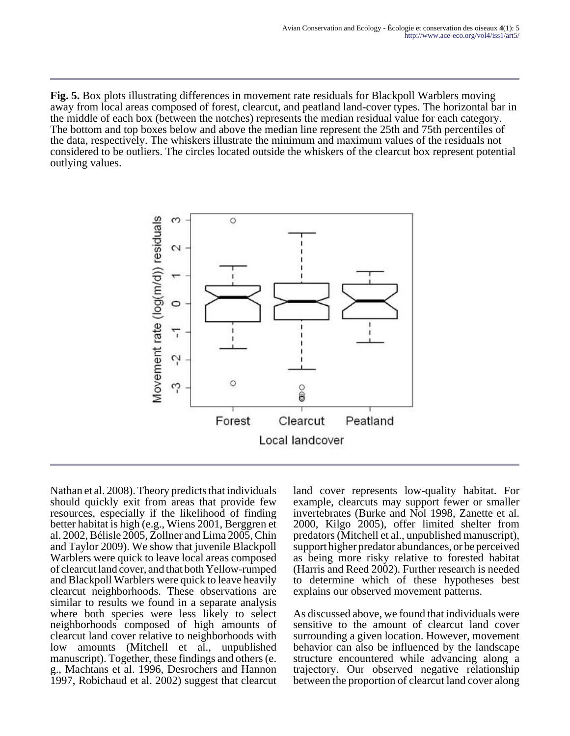**Fig. 5.** Box plots illustrating differences in movement rate residuals for Blackpoll Warblers moving away from local areas composed of forest, clearcut, and peatland land-cover types. The horizontal bar in the middle of each box (between the notches) represents the median residual value for each category. The bottom and top boxes below and above the median line represent the 25th and 75th percentiles of the data, respectively. The whiskers illustrate the minimum and maximum values of the residuals not considered to be outliers. The circles located outside the whiskers of the clearcut box represent potential outlying values.



Nathan et al. 2008). Theory predicts that individuals should quickly exit from areas that provide few resources, especially if the likelihood of finding better habitat is high (e.g., Wiens 2001, Berggren et al. 2002, Bélisle 2005, Zollner and Lima 2005, Chin and Taylor 2009). We show that juvenile Blackpoll Warblers were quick to leave local areas composed of clearcut land cover, and that both Yellow-rumped and Blackpoll Warblers were quick to leave heavily clearcut neighborhoods. These observations are similar to results we found in a separate analysis where both species were less likely to select neighborhoods composed of high amounts of clearcut land cover relative to neighborhoods with low amounts (Mitchell et al., unpublished manuscript). Together, these findings and others (e. g., Machtans et al. 1996, Desrochers and Hannon 1997, Robichaud et al. 2002) suggest that clearcut

land cover represents low-quality habitat. For example, clearcuts may support fewer or smaller invertebrates (Burke and Nol 1998, Zanette et al. 2000, Kilgo 2005), offer limited shelter from predators (Mitchell et al., unpublished manuscript), support higher predator abundances, or be perceived as being more risky relative to forested habitat (Harris and Reed 2002). Further research is needed to determine which of these hypotheses best explains our observed movement patterns.

As discussed above, we found that individuals were sensitive to the amount of clearcut land cover surrounding a given location. However, movement behavior can also be influenced by the landscape structure encountered while advancing along a trajectory. Our observed negative relationship between the proportion of clearcut land cover along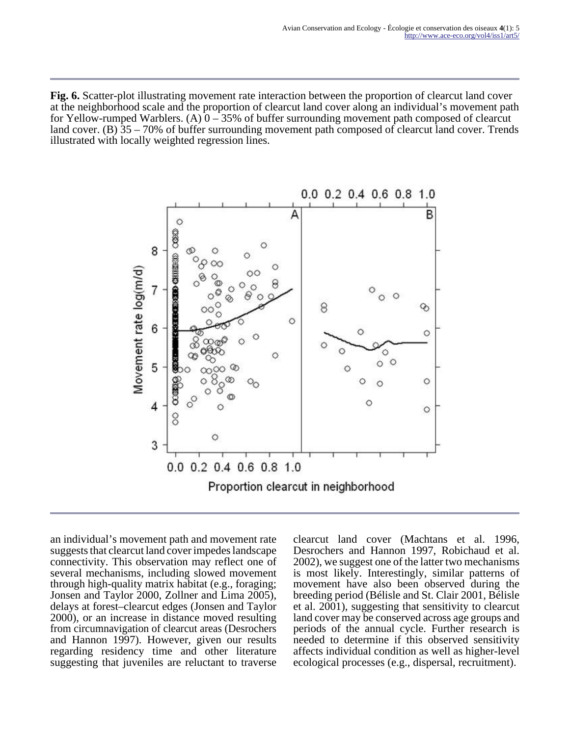**Fig. 6.** Scatter-plot illustrating movement rate interaction between the proportion of clearcut land cover at the neighborhood scale and the proportion of clearcut land cover along an individual's movement path for Yellow-rumped Warblers. (A)  $0-35%$  of buffer surrounding movement path composed of clearcut land cover. (B) 35 – 70% of buffer surrounding movement path composed of clearcut land cover. Trends illustrated with locally weighted regression lines.



an individual's movement path and movement rate suggests that clearcut land cover impedes landscape connectivity. This observation may reflect one of several mechanisms, including slowed movement through high-quality matrix habitat (e.g., foraging; Jonsen and Taylor 2000, Zollner and Lima 2005), delays at forest–clearcut edges (Jonsen and Taylor 2000), or an increase in distance moved resulting from circumnavigation of clearcut areas (Desrochers and Hannon 1997). However, given our results regarding residency time and other literature suggesting that juveniles are reluctant to traverse

clearcut land cover (Machtans et al. 1996, Desrochers and Hannon 1997, Robichaud et al. 2002), we suggest one of the latter two mechanisms is most likely. Interestingly, similar patterns of movement have also been observed during the breeding period (Bélisle and St. Clair 2001, Bélisle et al. 2001), suggesting that sensitivity to clearcut land cover may be conserved across age groups and periods of the annual cycle. Further research is needed to determine if this observed sensitivity affects individual condition as well as higher-level ecological processes (e.g., dispersal, recruitment).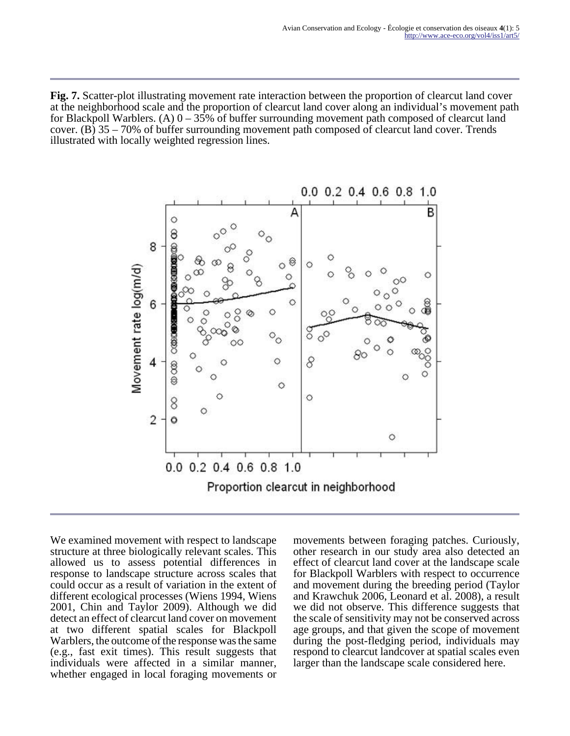**Fig. 7.** Scatter-plot illustrating movement rate interaction between the proportion of clearcut land cover at the neighborhood scale and the proportion of clearcut land cover along an individual's movement path for Blackpoll Warblers. (A)  $0-35%$  of buffer surrounding movement path composed of clearcut land cover. (B) 35 – 70% of buffer surrounding movement path composed of clearcut land cover. Trends illustrated with locally weighted regression lines.



We examined movement with respect to landscape structure at three biologically relevant scales. This allowed us to assess potential differences in response to landscape structure across scales that could occur as a result of variation in the extent of different ecological processes (Wiens 1994, Wiens 2001, Chin and Taylor 2009). Although we did detect an effect of clearcut land cover on movement at two different spatial scales for Blackpoll Warblers, the outcome of the response was the same (e.g., fast exit times). This result suggests that individuals were affected in a similar manner, whether engaged in local foraging movements or

movements between foraging patches. Curiously, other research in our study area also detected an effect of clearcut land cover at the landscape scale for Blackpoll Warblers with respect to occurrence and movement during the breeding period (Taylor and Krawchuk 2006, Leonard et al. 2008), a result we did not observe. This difference suggests that the scale of sensitivity may not be conserved across age groups, and that given the scope of movement during the post-fledging period, individuals may respond to clearcut landcover at spatial scales even larger than the landscape scale considered here.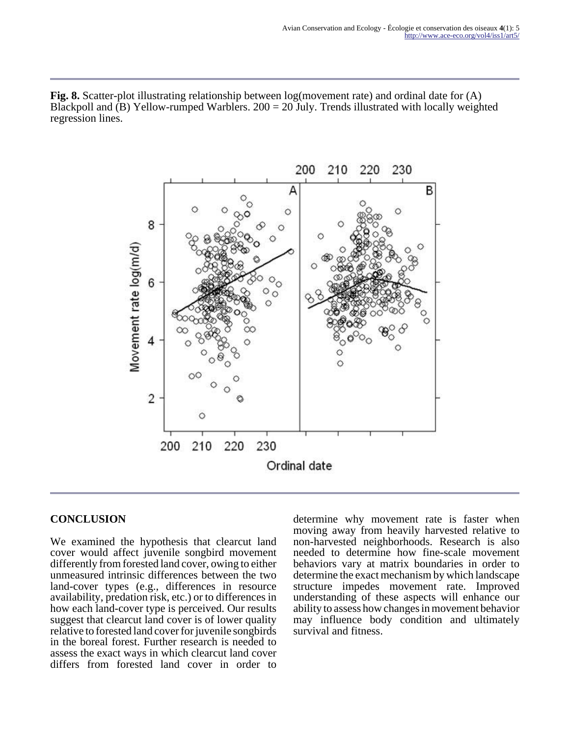**Fig. 8.** Scatter-plot illustrating relationship between log(movement rate) and ordinal date for (A) Blackpoll and (B) Yellow-rumped Warblers.  $200 = 20$  July. Trends illustrated with locally weighted regression lines.



# **CONCLUSION**

We examined the hypothesis that clearcut land cover would affect juvenile songbird movement differently from forested land cover, owing to either unmeasured intrinsic differences between the two land-cover types (e.g., differences in resource availability, predation risk, etc.) or to differences in how each land-cover type is perceived. Our results suggest that clearcut land cover is of lower quality relative to forested land cover for juvenile songbirds in the boreal forest. Further research is needed to assess the exact ways in which clearcut land cover differs from forested land cover in order to

determine why movement rate is faster when moving away from heavily harvested relative to non-harvested neighborhoods. Research is also needed to determine how fine-scale movement behaviors vary at matrix boundaries in order to determine the exact mechanism by which landscape structure impedes movement rate. Improved understanding of these aspects will enhance our ability to assess how changes in movement behavior may influence body condition and ultimately survival and fitness.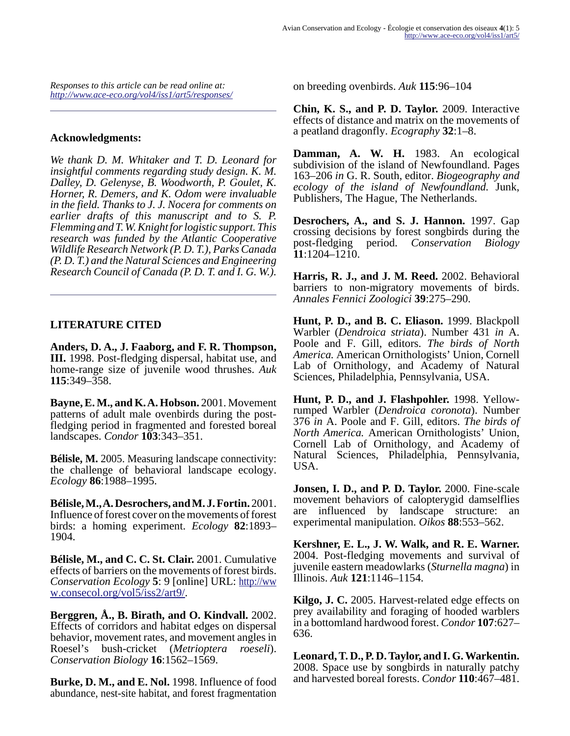*Responses to this article can be read online at: <http://www.ace-eco.org/vol4/iss1/art5/responses/>*

#### **Acknowledgments:**

*We thank D. M. Whitaker and T. D. Leonard for insightful comments regarding study design. K. M. Dalley, D. Gelenyse, B. Woodworth, P. Goulet, K. Horner, R. Demers, and K. Odom were invaluable in the field. Thanks to J. J. Nocera for comments on earlier drafts of this manuscript and to S. P. Flemming and T. W. Knight for logistic support. This research was funded by the Atlantic Cooperative Wildlife Research Network (P. D. T.), Parks Canada (P. D. T.) and the Natural Sciences and Engineering Research Council of Canada (P. D. T. and I. G. W.).*

#### **LITERATURE CITED**

**Anders, D. A., J. Faaborg, and F. R. Thompson, III.** 1998. Post-fledging dispersal, habitat use, and home-range size of juvenile wood thrushes. *Auk* **115**:349–358.

**Bayne, E. M., and K. A. Hobson.** 2001. Movement patterns of adult male ovenbirds during the postfledging period in fragmented and forested boreal landscapes. *Condor* **103**:343–351.

**Bélisle, M.** 2005. Measuring landscape connectivity: the challenge of behavioral landscape ecology. *Ecology* **86**:1988–1995.

**Bélisle, M., A. Desrochers, and M. J. Fortin.** 2001. Influence of forest cover on the movements of forest birds: a homing experiment. *Ecology* **82**:1893– 1904.

**Bélisle, M., and C. C. St. Clair.** 2001. Cumulative effects of barriers on the movements of forest birds. *Conservation Ecology* **5**: 9 [online] URL: [http://ww](http://www.consecol.org/vol5/iss2/art9/) [w.consecol.org/vol5/iss2/art9/.](http://www.consecol.org/vol5/iss2/art9/)

**Berggren, Å., B. Birath, and O. Kindvall.** 2002. Effects of corridors and habitat edges on dispersal behavior, movement rates, and movement angles in Roesel's bush-cricket (*Metrioptera roeseli*). *Conservation Biology* **16**:1562–1569.

**Burke, D. M., and E. Nol.** 1998. Influence of food abundance, nest-site habitat, and forest fragmentation on breeding ovenbirds. *Auk* **115**:96–104

**Chin, K. S., and P. D. Taylor.** 2009. Interactive effects of distance and matrix on the movements of a peatland dragonfly. *Ecography* **32**:1–8.

**Damman, A. W. H.** 1983. An ecological subdivision of the island of Newfoundland. Pages 163–206 *in* G. R. South, editor. *Biogeography and ecology of the island of Newfoundland.* Junk, Publishers, The Hague, The Netherlands.

**Desrochers, A., and S. J. Hannon.** 1997. Gap crossing decisions by forest songbirds during the post-fledging period. Conservation Biology post-fledging period. *Conservation Biology* **11**:1204–1210.

**Harris, R. J., and J. M. Reed.** 2002. Behavioral barriers to non-migratory movements of birds. *Annales Fennici Zoologici* **39**:275–290.

**Hunt, P. D., and B. C. Eliason.** 1999. Blackpoll Warbler (*Dendroica striata*). Number 431 *in* A. Poole and F. Gill, editors. *The birds of North America.* American Ornithologists' Union, Cornell Lab of Ornithology, and Academy of Natural Sciences, Philadelphia, Pennsylvania, USA.

**Hunt, P. D., and J. Flashpohler.** 1998. Yellowrumped Warbler (*Dendroica coronota*). Number 376 *in* A. Poole and F. Gill, editors. *The birds of North America.* American Ornithologists' Union, Cornell Lab of Ornithology, and Academy of Natural Sciences, Philadelphia, Pennsylvania, USA.

**Jonsen, I. D., and P. D. Taylor.** 2000. Fine-scale movement behaviors of calopterygid damselflies are influenced by landscape structure: an experimental manipulation. *Oikos* **88**:553–562.

**Kershner, E. L., J. W. Walk, and R. E. Warner.** 2004. Post-fledging movements and survival of juvenile eastern meadowlarks (*Sturnella magna*) in Illinois. *Auk* **121**:1146–1154.

**Kilgo, J. C.** 2005. Harvest-related edge effects on prey availability and foraging of hooded warblers in a bottomland hardwood forest. *Condor* **107**:627– 636.

**Leonard, T. D., P. D. Taylor, and I. G. Warkentin.** 2008. Space use by songbirds in naturally patchy and harvested boreal forests. *Condor* **110**:467–481.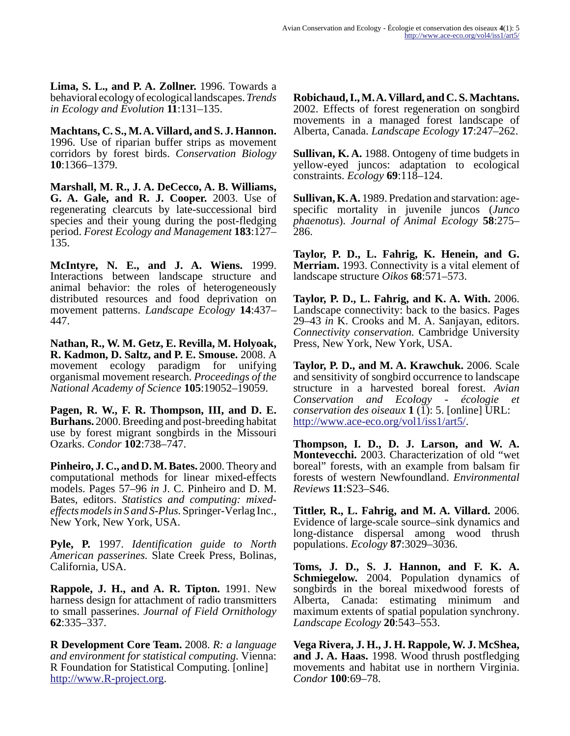**Lima, S. L., and P. A. Zollner.** 1996. Towards a behavioral ecology of ecological landscapes. *Trends in Ecology and Evolution* **11**:131–135.

**Machtans, C. S., M. A. Villard, and S. J. Hannon.** 1996. Use of riparian buffer strips as movement corridors by forest birds. *Conservation Biology* **10**:1366–1379.

**Marshall, M. R., J. A. DeCecco, A. B. Williams, G. A. Gale, and R. J. Cooper.** 2003. Use of regenerating clearcuts by late-successional bird species and their young during the post-fledging period. *Forest Ecology and Management* **183**:127– 135.

**McIntyre, N. E., and J. A. Wiens.** 1999. Interactions between landscape structure and animal behavior: the roles of heterogeneously distributed resources and food deprivation on movement patterns. *Landscape Ecology* **14**:437– 447.

**Nathan, R., W. M. Getz, E. Revilla, M. Holyoak, R. Kadmon, D. Saltz, and P. E. Smouse.** 2008. A movement ecology paradigm for unifying organismal movement research. *Proceedings of the National Academy of Science* **105**:19052–19059.

**Pagen, R. W., F. R. Thompson, III, and D. E. Burhans.** 2000. Breeding and post-breeding habitat use by forest migrant songbirds in the Missouri Ozarks. *Condor* **102**:738–747.

**Pinheiro, J. C., and D. M. Bates.** 2000. Theory and computational methods for linear mixed-effects models. Pages 57–96 *in* J. C. Pinheiro and D. M. Bates, editors. *Statistics and computing: mixedeffects models in S and S-Plus.* Springer-Verlag Inc., New York, New York, USA.

**Pyle, P.** 1997. *Identification guide to North American passerines.* Slate Creek Press, Bolinas, California, USA.

**Rappole, J. H., and A. R. Tipton.** 1991. New harness design for attachment of radio transmitters to small passerines. *Journal of Field Ornithology* **62**:335–337.

**R Development Core Team.** 2008. *R: a language and environment for statistical computing.* Vienna: R Foundation for Statistical Computing. [online] [http://www.R-project.org.](http://www.R-project.org)

**Robichaud, I., M. A. Villard, and C. S. Machtans.** 2002. Effects of forest regeneration on songbird movements in a managed forest landscape of Alberta, Canada. *Landscape Ecology* **17**:247–262.

**Sullivan, K. A.** 1988. Ontogeny of time budgets in yellow-eyed juncos: adaptation to ecological constraints. *Ecology* **69**:118–124.

**Sullivan, K. A.** 1989. Predation and starvation: agespecific mortality in juvenile juncos (*Junco phaenotus*). *Journal of Animal Ecology* **58**:275– 286.

**Taylor, P. D., L. Fahrig, K. Henein, and G. Merriam.** 1993. Connectivity is a vital element of landscape structure *Oikos* **68**:571–573.

**Taylor, P. D., L. Fahrig, and K. A. With.** 2006. Landscape connectivity: back to the basics. Pages 29–43 *in* K. Crooks and M. A. Sanjayan, editors. *Connectivity conservation.* Cambridge University Press, New York, New York, USA.

**Taylor, P. D., and M. A. Krawchuk.** 2006. Scale and sensitivity of songbird occurrence to landscape structure in a harvested boreal forest. *Avian Conservation and Ecology - écologie et conservation des oiseaux*  $1 (1)$ : 5. [online] URL: [http://www.ace-eco.org/vol1/iss1/art5/](http://www.ace-eco.org/vol1/iss1/art5/)).

**Thompson, I. D., D. J. Larson, and W. A. Montevecchi.** 2003. Characterization of old "wet boreal" forests, with an example from balsam fir forests of western Newfoundland. *Environmental Reviews* **11**:S23–S46.

**Tittler, R., L. Fahrig, and M. A. Villard.** 2006. Evidence of large-scale source–sink dynamics and long-distance dispersal among wood thrush populations. *Ecology* **87**:3029–3036.

**Toms, J. D., S. J. Hannon, and F. K. A. Schmiegelow.** 2004. Population dynamics of songbirds in the boreal mixedwood forests of Alberta, Canada: estimating minimum and maximum extents of spatial population synchrony. *Landscape Ecology* **20**:543–553.

**Vega Rivera, J. H., J. H. Rappole, W. J. McShea, and J. A. Haas.** 1998. Wood thrush postfledging movements and habitat use in northern Virginia. *Condor* **100**:69–78.